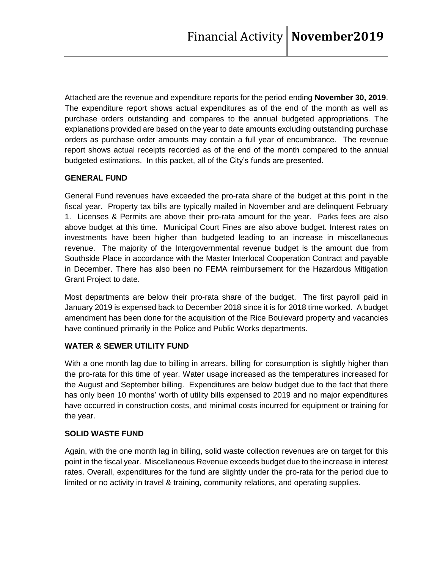Attached are the revenue and expenditure reports for the period ending **November 30, 2019**. The expenditure report shows actual expenditures as of the end of the month as well as purchase orders outstanding and compares to the annual budgeted appropriations. The explanations provided are based on the year to date amounts excluding outstanding purchase orders as purchase order amounts may contain a full year of encumbrance. The revenue report shows actual receipts recorded as of the end of the month compared to the annual budgeted estimations. In this packet, all of the City's funds are presented.

## **GENERAL FUND**

General Fund revenues have exceeded the pro-rata share of the budget at this point in the fiscal year. Property tax bills are typically mailed in November and are delinquent February 1. Licenses & Permits are above their pro-rata amount for the year. Parks fees are also above budget at this time. Municipal Court Fines are also above budget. Interest rates on investments have been higher than budgeted leading to an increase in miscellaneous revenue. The majority of the Intergovernmental revenue budget is the amount due from Southside Place in accordance with the Master Interlocal Cooperation Contract and payable in December. There has also been no FEMA reimbursement for the Hazardous Mitigation Grant Project to date.

Most departments are below their pro-rata share of the budget. The first payroll paid in January 2019 is expensed back to December 2018 since it is for 2018 time worked. A budget amendment has been done for the acquisition of the Rice Boulevard property and vacancies have continued primarily in the Police and Public Works departments.

# **WATER & SEWER UTILITY FUND**

With a one month lag due to billing in arrears, billing for consumption is slightly higher than the pro-rata for this time of year. Water usage increased as the temperatures increased for the August and September billing. Expenditures are below budget due to the fact that there has only been 10 months' worth of utility bills expensed to 2019 and no major expenditures have occurred in construction costs, and minimal costs incurred for equipment or training for the year.

# **SOLID WASTE FUND**

Again, with the one month lag in billing, solid waste collection revenues are on target for this point in the fiscal year. Miscellaneous Revenue exceeds budget due to the increase in interest rates. Overall, expenditures for the fund are slightly under the pro-rata for the period due to limited or no activity in travel & training, community relations, and operating supplies.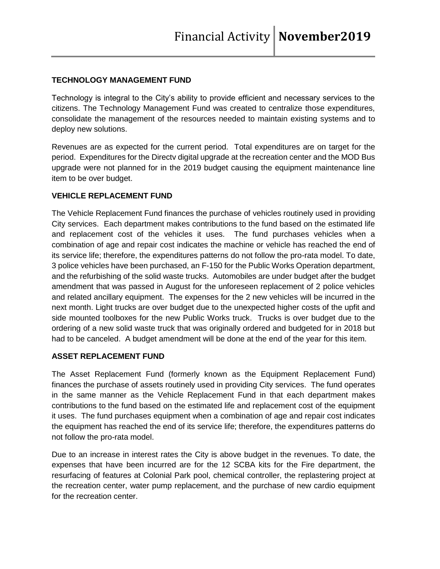## **TECHNOLOGY MANAGEMENT FUND**

Technology is integral to the City's ability to provide efficient and necessary services to the citizens. The Technology Management Fund was created to centralize those expenditures, consolidate the management of the resources needed to maintain existing systems and to deploy new solutions.

Revenues are as expected for the current period. Total expenditures are on target for the period. Expenditures for the Directv digital upgrade at the recreation center and the MOD Bus upgrade were not planned for in the 2019 budget causing the equipment maintenance line item to be over budget.

#### **VEHICLE REPLACEMENT FUND**

The Vehicle Replacement Fund finances the purchase of vehicles routinely used in providing City services. Each department makes contributions to the fund based on the estimated life and replacement cost of the vehicles it uses. The fund purchases vehicles when a combination of age and repair cost indicates the machine or vehicle has reached the end of its service life; therefore, the expenditures patterns do not follow the pro-rata model. To date, 3 police vehicles have been purchased, an F-150 for the Public Works Operation department, and the refurbishing of the solid waste trucks. Automobiles are under budget after the budget amendment that was passed in August for the unforeseen replacement of 2 police vehicles and related ancillary equipment. The expenses for the 2 new vehicles will be incurred in the next month. Light trucks are over budget due to the unexpected higher costs of the upfit and side mounted toolboxes for the new Public Works truck. Trucks is over budget due to the ordering of a new solid waste truck that was originally ordered and budgeted for in 2018 but had to be canceled. A budget amendment will be done at the end of the year for this item.

#### **ASSET REPLACEMENT FUND**

The Asset Replacement Fund (formerly known as the Equipment Replacement Fund) finances the purchase of assets routinely used in providing City services. The fund operates in the same manner as the Vehicle Replacement Fund in that each department makes contributions to the fund based on the estimated life and replacement cost of the equipment it uses. The fund purchases equipment when a combination of age and repair cost indicates the equipment has reached the end of its service life; therefore, the expenditures patterns do not follow the pro-rata model.

Due to an increase in interest rates the City is above budget in the revenues. To date, the expenses that have been incurred are for the 12 SCBA kits for the Fire department, the resurfacing of features at Colonial Park pool, chemical controller, the replastering project at the recreation center, water pump replacement, and the purchase of new cardio equipment for the recreation center.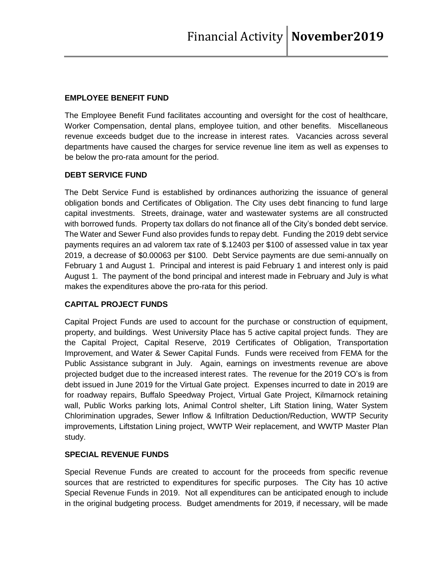### **EMPLOYEE BENEFIT FUND**

The Employee Benefit Fund facilitates accounting and oversight for the cost of healthcare, Worker Compensation, dental plans, employee tuition, and other benefits. Miscellaneous revenue exceeds budget due to the increase in interest rates. Vacancies across several departments have caused the charges for service revenue line item as well as expenses to be below the pro-rata amount for the period.

## **DEBT SERVICE FUND**

The Debt Service Fund is established by ordinances authorizing the issuance of general obligation bonds and Certificates of Obligation. The City uses debt financing to fund large capital investments. Streets, drainage, water and wastewater systems are all constructed with borrowed funds. Property tax dollars do not finance all of the City's bonded debt service. The Water and Sewer Fund also provides funds to repay debt. Funding the 2019 debt service payments requires an ad valorem tax rate of \$.12403 per \$100 of assessed value in tax year 2019, a decrease of \$0.00063 per \$100. Debt Service payments are due semi-annually on February 1 and August 1. Principal and interest is paid February 1 and interest only is paid August 1. The payment of the bond principal and interest made in February and July is what makes the expenditures above the pro-rata for this period.

# **CAPITAL PROJECT FUNDS**

Capital Project Funds are used to account for the purchase or construction of equipment, property, and buildings. West University Place has 5 active capital project funds. They are the Capital Project, Capital Reserve, 2019 Certificates of Obligation, Transportation Improvement, and Water & Sewer Capital Funds. Funds were received from FEMA for the Public Assistance subgrant in July. Again, earnings on investments revenue are above projected budget due to the increased interest rates. The revenue for the 2019 CO's is from debt issued in June 2019 for the Virtual Gate project. Expenses incurred to date in 2019 are for roadway repairs, Buffalo Speedway Project, Virtual Gate Project, Kilmarnock retaining wall, Public Works parking lots, Animal Control shelter, Lift Station lining, Water System Chlorimination upgrades, Sewer Inflow & Infiltration Deduction/Reduction, WWTP Security improvements, Liftstation Lining project, WWTP Weir replacement, and WWTP Master Plan study.

#### **SPECIAL REVENUE FUNDS**

Special Revenue Funds are created to account for the proceeds from specific revenue sources that are restricted to expenditures for specific purposes. The City has 10 active Special Revenue Funds in 2019. Not all expenditures can be anticipated enough to include in the original budgeting process. Budget amendments for 2019, if necessary, will be made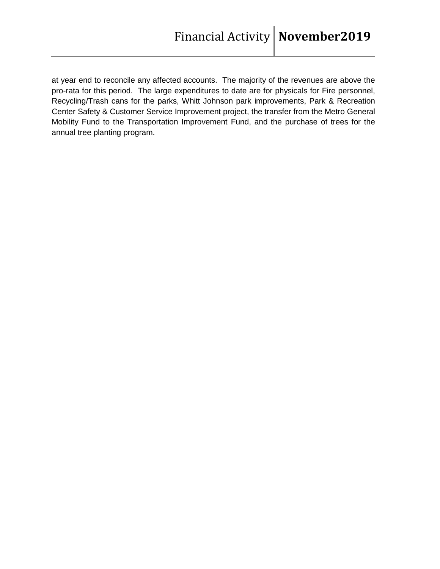at year end to reconcile any affected accounts. The majority of the revenues are above the pro-rata for this period. The large expenditures to date are for physicals for Fire personnel, Recycling/Trash cans for the parks, Whitt Johnson park improvements, Park & Recreation Center Safety & Customer Service Improvement project, the transfer from the Metro General Mobility Fund to the Transportation Improvement Fund, and the purchase of trees for the annual tree planting program.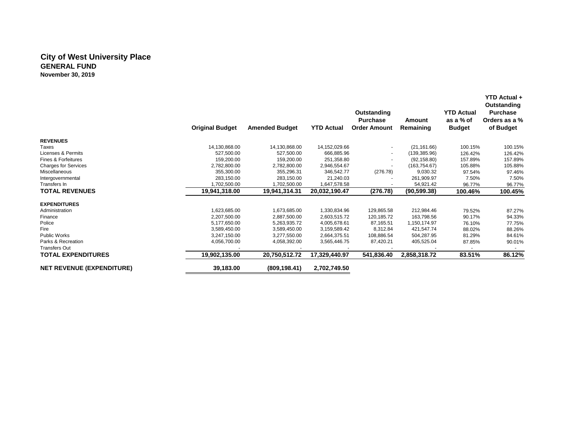#### **City of West University Place GENERAL FUND November 30, 2019**

|                                  |                        |                       |                   | Outstanding<br><b>Purchase</b> | Amount        | <b>YTD Actual</b><br>as a % of | <b>YTD Actual +</b><br>Outstanding<br><b>Purchase</b><br>Orders as a % |
|----------------------------------|------------------------|-----------------------|-------------------|--------------------------------|---------------|--------------------------------|------------------------------------------------------------------------|
|                                  | <b>Original Budget</b> | <b>Amended Budget</b> | <b>YTD Actual</b> | <b>Order Amount</b>            | Remaining     | <b>Budget</b>                  | of Budget                                                              |
| <b>REVENUES</b>                  |                        |                       |                   |                                |               |                                |                                                                        |
| Taxes                            | 14,130,868.00          | 14,130,868.00         | 14,152,029.66     | $\sim$                         | (21, 161.66)  | 100.15%                        | 100.15%                                                                |
| Licenses & Permits               | 527,500.00             | 527.500.00            | 666,885.96        | $\sim$                         | (139, 385.96) | 126.42%                        | 126.42%                                                                |
| Fines & Forfeitures              | 159,200.00             | 159,200.00            | 251,358.80        | $\sim$                         | (92, 158.80)  | 157.89%                        | 157.89%                                                                |
| <b>Charges for Services</b>      | 2,782,800.00           | 2,782,800.00          | 2,946,554.67      |                                | (163, 754.67) | 105.88%                        | 105.88%                                                                |
| Miscellaneous                    | 355,300.00             | 355,296.31            | 346,542.77        | (276.78)                       | 9,030.32      | 97.54%                         | 97.46%                                                                 |
| Intergovernmental                | 283,150.00             | 283,150.00            | 21.240.03         |                                | 261,909.97    | 7.50%                          | 7.50%                                                                  |
| Transfers In                     | 1,702,500.00           | 1,702,500.00          | 1,647,578.58      |                                | 54,921.42     | 96.77%                         | 96.77%                                                                 |
| <b>TOTAL REVENUES</b>            | 19,941,318.00          | 19,941,314.31         | 20,032,190.47     | (276.78)                       | (90, 599.38)  | 100.46%                        | 100.45%                                                                |
| <b>EXPENDITURES</b>              |                        |                       |                   |                                |               |                                |                                                                        |
| Administration                   | 1,623,685.00           | 1,673,685.00          | 1,330,834.96      | 129,865.58                     | 212,984.46    | 79.52%                         | 87.27%                                                                 |
| Finance                          | 2,207,500.00           | 2,887,500.00          | 2,603,515.72      | 120,185.72                     | 163,798.56    | 90.17%                         | 94.33%                                                                 |
| Police                           | 5.177.650.00           | 5,263,935.72          | 4,005,678.61      | 87,165.51                      | 1,150,174.97  | 76.10%                         | 77.75%                                                                 |
| Fire                             | 3,589,450.00           | 3,589,450.00          | 3,159,589.42      | 8,312.84                       | 421,547.74    | 88.02%                         | 88.26%                                                                 |
| <b>Public Works</b>              | 3,247,150.00           | 3,277,550.00          | 2,664,375.51      | 108,886.54                     | 504,287.95    | 81.29%                         | 84.61%                                                                 |
| Parks & Recreation               | 4,056,700.00           | 4,058,392.00          | 3,565,446.75      | 87,420.21                      | 405,525.04    | 87.85%                         | 90.01%                                                                 |
| <b>Transfers Out</b>             |                        |                       |                   |                                |               |                                |                                                                        |
| <b>TOTAL EXPENDITURES</b>        | 19,902,135.00          | 20,750,512.72         | 17,329,440.97     | 541,836.40                     | 2,858,318.72  | 83.51%                         | 86.12%                                                                 |
| <b>NET REVENUE (EXPENDITURE)</b> | 39,183.00              | (809, 198.41)         | 2,702,749.50      |                                |               |                                |                                                                        |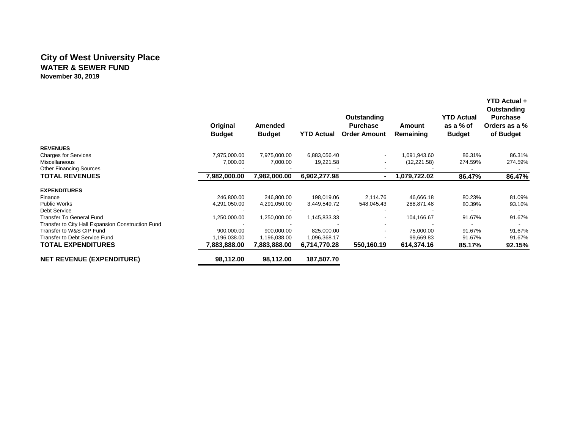### **City of West University Place WATER & SEWER FUND November 30, 2019**

|                                                   | Original<br><b>Budget</b> | Amended<br><b>Budget</b> | <b>YTD Actual</b> | Outstanding<br><b>Purchase</b><br><b>Order Amount</b> | Amount<br>Remaining | <b>YTD Actual</b><br>as a % of<br><b>Budget</b> | YTD Actual +<br>Outstanding<br><b>Purchase</b><br>Orders as a %<br>of Budget |
|---------------------------------------------------|---------------------------|--------------------------|-------------------|-------------------------------------------------------|---------------------|-------------------------------------------------|------------------------------------------------------------------------------|
| <b>REVENUES</b>                                   |                           |                          |                   |                                                       |                     |                                                 |                                                                              |
| <b>Charges for Services</b>                       | 7,975,000.00              | 7,975,000.00             | 6,883,056.40      | $\overline{\phantom{a}}$                              | 1,091,943.60        | 86.31%                                          | 86.31%                                                                       |
| Miscellaneous                                     | 7,000.00                  | 7,000.00                 | 19,221.58         |                                                       | (12, 221.58)        | 274.59%                                         | 274.59%                                                                      |
| <b>Other Financing Sources</b>                    |                           |                          |                   |                                                       |                     |                                                 |                                                                              |
| <b>TOTAL REVENUES</b>                             | 7,982,000.00              | 7,982,000.00             | 6,902,277.98      | $\blacksquare$                                        | 1.079.722.02        | 86.47%                                          | 86.47%                                                                       |
| <b>EXPENDITURES</b>                               |                           |                          |                   |                                                       |                     |                                                 |                                                                              |
| Finance                                           | 246,800.00                | 246,800.00               | 198,019.06        | 2,114.76                                              | 46,666.18           | 80.23%                                          | 81.09%                                                                       |
| Public Works                                      | 4,291,050.00              | 4,291,050.00             | 3,449,549.72      | 548,045.43                                            | 288,871.48          | 80.39%                                          | 93.16%                                                                       |
| Debt Service                                      |                           |                          |                   |                                                       |                     |                                                 |                                                                              |
| Transfer To General Fund                          | 1,250,000.00              | 1,250,000.00             | 1,145,833.33      |                                                       | 104,166.67          | 91.67%                                          | 91.67%                                                                       |
| Transfer to City Hall Expansion Construction Fund |                           |                          |                   | $\blacksquare$                                        |                     |                                                 |                                                                              |
| Transfer to W&S CIP Fund                          | 900,000.00                | 900,000.00               | 825,000.00        | $\blacksquare$                                        | 75,000.00           | 91.67%                                          | 91.67%                                                                       |
| Transfer to Debt Service Fund                     | 1,196,038.00              | 1,196,038.00             | 1,096,368.17      |                                                       | 99,669.83           | 91.67%                                          | 91.67%                                                                       |
| <b>TOTAL EXPENDITURES</b>                         | 7,883,888.00              | 7,883,888.00             | 6,714,770.28      | 550.160.19                                            | 614,374.16          | 85.17%                                          | 92.15%                                                                       |
| <b>NET REVENUE (EXPENDITURE)</b>                  | 98,112.00                 | 98,112.00                | 187,507.70        |                                                       |                     |                                                 |                                                                              |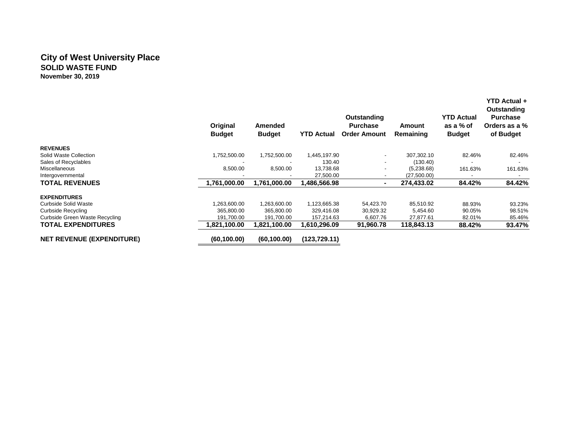### **City of West University Place SOLID WASTE FUND November 30, 2019**

|                                  | Original<br><b>Budget</b> | Amended<br><b>Budget</b> | <b>YTD Actual</b> | Outstanding<br><b>Purchase</b><br><b>Order Amount</b> | Amount<br>Remaining | <b>YTD Actual</b><br>as a % of<br><b>Budget</b> | YTD Actual +<br>Outstanding<br><b>Purchase</b><br>Orders as a %<br>of Budget |
|----------------------------------|---------------------------|--------------------------|-------------------|-------------------------------------------------------|---------------------|-------------------------------------------------|------------------------------------------------------------------------------|
| <b>REVENUES</b>                  |                           |                          |                   |                                                       |                     |                                                 |                                                                              |
| Solid Waste Collection           | 1,752,500.00              | 1,752,500.00             | 1,445,197.90      | ۰                                                     | 307.302.10          | 82.46%                                          | 82.46%                                                                       |
| Sales of Recyclables             |                           |                          | 130.40            | -                                                     | (130.40)            |                                                 |                                                                              |
| <b>Miscellaneous</b>             | 8,500.00                  | 8,500.00                 | 13,738.68         | -                                                     | (5,238.68)          | 161.63%                                         | 161.63%                                                                      |
| Intergovernmental                |                           |                          | 27,500.00         |                                                       | (27,500.00)         |                                                 |                                                                              |
| <b>TOTAL REVENUES</b>            | 1,761,000.00              | 1,761,000.00             | 1,486,566.98      | ٠                                                     | 274,433.02          | 84.42%                                          | 84.42%                                                                       |
| <b>EXPENDITURES</b>              |                           |                          |                   |                                                       |                     |                                                 |                                                                              |
| Curbside Solid Waste             | 1,263,600.00              | 1,263,600.00             | 1,123,665.38      | 54,423.70                                             | 85,510.92           | 88.93%                                          | 93.23%                                                                       |
| <b>Curbside Recycling</b>        | 365,800.00                | 365,800.00               | 329,416.08        | 30,929.32                                             | 5,454.60            | 90.05%                                          | 98.51%                                                                       |
| Curbside Green Waste Recycling   | 191,700.00                | 191,700.00               | 157,214.63        | 6,607.76                                              | 27,877.61           | 82.01%                                          | 85.46%                                                                       |
| <b>TOTAL EXPENDITURES</b>        | 1,821,100.00              | 1,821,100.00             | 1.610.296.09      | 91,960.78                                             | 118,843.13          | 88.42%                                          | 93.47%                                                                       |
| <b>NET REVENUE (EXPENDITURE)</b> | (60, 100.00)              | (60, 100.00)             | (123, 729.11)     |                                                       |                     |                                                 |                                                                              |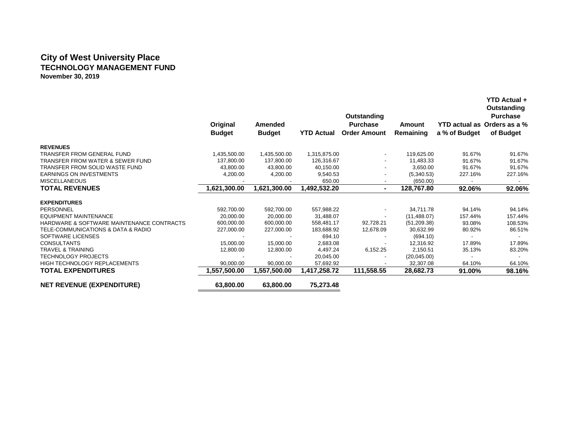## **City of West University Place TECHNOLOGY MANAGEMENT FUND November 30, 2019**

|                                             | Original<br><b>Budget</b> | Amended<br><b>Budget</b> | <b>YTD Actual</b> | Outstanding<br><b>Purchase</b><br><b>Order Amount</b> | Amount<br>Remaining | YTD actual as Orders as a %<br>a % of Budget | <b>YTD Actual +</b><br>Outstanding<br><b>Purchase</b><br>of Budget |
|---------------------------------------------|---------------------------|--------------------------|-------------------|-------------------------------------------------------|---------------------|----------------------------------------------|--------------------------------------------------------------------|
| <b>REVENUES</b>                             |                           |                          |                   |                                                       |                     |                                              |                                                                    |
| <b>TRANSFER FROM GENERAL FUND</b>           | 1,435,500.00              | 1,435,500.00             | 1,315,875.00      | $\blacksquare$                                        | 119,625.00          | 91.67%                                       | 91.67%                                                             |
| <b>TRANSFER FROM WATER &amp; SEWER FUND</b> | 137,800.00                | 137,800.00               | 126,316.67        |                                                       | 11,483.33           | 91.67%                                       | 91.67%                                                             |
| TRANSFER FROM SOLID WASTE FUND              | 43,800.00                 | 43,800.00                | 40,150.00         |                                                       | 3,650.00            | 91.67%                                       | 91.67%                                                             |
| <b>EARNINGS ON INVESTMENTS</b>              | 4,200.00                  | 4,200.00                 | 9,540.53          |                                                       | (5,340.53)          | 227.16%                                      | 227.16%                                                            |
| <b>MISCELLANEOUS</b>                        |                           |                          | 650.00            |                                                       | (650.00)            |                                              |                                                                    |
| <b>TOTAL REVENUES</b>                       | 1,621,300.00              | 1,621,300.00             | 1,492,532.20      | $\blacksquare$                                        | 128,767.80          | 92.06%                                       | 92.06%                                                             |
| <b>EXPENDITURES</b>                         |                           |                          |                   |                                                       |                     |                                              |                                                                    |
| PERSONNEL                                   | 592,700.00                | 592,700.00               | 557,988.22        |                                                       | 34,711.78           | 94.14%                                       | 94.14%                                                             |
| <b>EQUIPMENT MAINTENANCE</b>                | 20,000.00                 | 20,000.00                | 31,488.07         | $\overline{\phantom{a}}$                              | (11, 488.07)        | 157.44%                                      | 157.44%                                                            |
| HARDWARE & SOFTWARE MAINTENANCE CONTRACTS   | 600,000.00                | 600,000.00               | 558,481.17        | 92,728.21                                             | (51, 209.38)        | 93.08%                                       | 108.53%                                                            |
| TELE-COMMUNICATIONS & DATA & RADIO          | 227,000.00                | 227,000.00               | 183,688.92        | 12,678.09                                             | 30,632.99           | 80.92%                                       | 86.51%                                                             |
| SOFTWARE LICENSES                           |                           |                          | 694.10            |                                                       | (694.10)            |                                              | $\sim$                                                             |
| <b>CONSULTANTS</b>                          | 15,000.00                 | 15.000.00                | 2,683.08          |                                                       | 12,316.92           | 17.89%                                       | 17.89%                                                             |
| <b>TRAVEL &amp; TRAINING</b>                | 12,800.00                 | 12,800.00                | 4,497.24          | 6,152.25                                              | 2,150.51            | 35.13%                                       | 83.20%                                                             |
| <b>TECHNOLOGY PROJECTS</b>                  |                           |                          | 20,045.00         |                                                       | (20,045.00)         |                                              | $\sim$                                                             |
| <b>HIGH TECHNOLOGY REPLACEMENTS</b>         | 90,000.00                 | 90,000.00                | 57,692.92         |                                                       | 32,307.08           | 64.10%                                       | 64.10%                                                             |
| <b>TOTAL EXPENDITURES</b>                   | 1,557,500.00              | 1,557,500.00             | 1,417,258.72      | 111,558.55                                            | 28,682.73           | 91.00%                                       | 98.16%                                                             |
| <b>NET REVENUE (EXPENDITURE)</b>            | 63,800.00                 | 63,800.00                | 75,273.48         |                                                       |                     |                                              |                                                                    |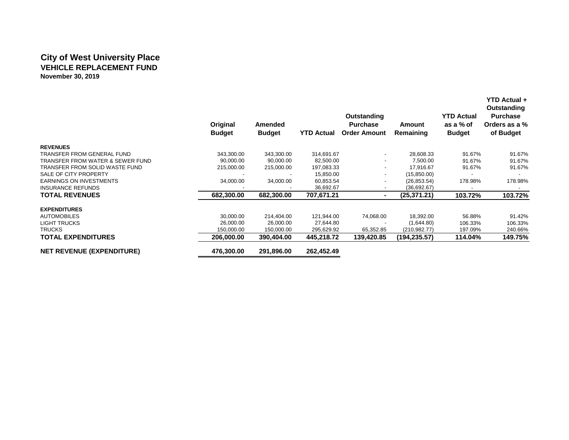## **City of West University Place VEHICLE REPLACEMENT FUND November 30, 2019**

|                                             | Original<br><b>Budget</b> | Amended<br><b>Budget</b> | <b>YTD Actual</b> | Outstanding<br><b>Purchase</b><br><b>Order Amount</b> | Amount<br>Remaining | <b>YTD Actual</b><br>as a % of<br><b>Budget</b> | <b>YTD Actual +</b><br>Outstanding<br><b>Purchase</b><br>Orders as a %<br>of Budget |
|---------------------------------------------|---------------------------|--------------------------|-------------------|-------------------------------------------------------|---------------------|-------------------------------------------------|-------------------------------------------------------------------------------------|
| <b>REVENUES</b>                             |                           |                          |                   |                                                       |                     |                                                 |                                                                                     |
| <b>TRANSFER FROM GENERAL FUND</b>           | 343,300.00                | 343,300.00               | 314,691.67        | $\blacksquare$                                        | 28,608.33           | 91.67%                                          | 91.67%                                                                              |
| <b>TRANSFER FROM WATER &amp; SEWER FUND</b> | 90,000.00                 | 90,000.00                | 82,500.00         |                                                       | 7,500.00            | 91.67%                                          | 91.67%                                                                              |
| TRANSFER FROM SOLID WASTE FUND              | 215,000.00                | 215,000.00               | 197,083.33        |                                                       | 17,916.67           | 91.67%                                          | 91.67%                                                                              |
| SALE OF CITY PROPERTY                       |                           |                          | 15,850.00         | ٠                                                     | (15, 850.00)        |                                                 |                                                                                     |
| <b>EARNINGS ON INVESTMENTS</b>              | 34,000.00                 | 34,000.00                | 60,853.54         | ٠                                                     | (26, 853.54)        | 178.98%                                         | 178.98%                                                                             |
| <b>INSURANCE REFUNDS</b>                    |                           |                          | 36,692.67         | $\overline{\phantom{a}}$                              | (36,692.67)         |                                                 |                                                                                     |
| <b>TOTAL REVENUES</b>                       | 682,300.00                | 682,300.00               | 707,671.21        | $\blacksquare$                                        | (25, 371.21)        | 103.72%                                         | 103.72%                                                                             |
| <b>EXPENDITURES</b>                         |                           |                          |                   |                                                       |                     |                                                 |                                                                                     |
| <b>AUTOMOBILES</b>                          | 30,000.00                 | 214,404.00               | 121,944.00        | 74,068.00                                             | 18,392.00           | 56.88%                                          | 91.42%                                                                              |
| <b>LIGHT TRUCKS</b>                         | 26,000.00                 | 26,000.00                | 27,644.80         |                                                       | (1,644.80)          | 106.33%                                         | 106.33%                                                                             |
| <b>TRUCKS</b>                               | 150,000.00                | 150,000.00               | 295,629.92        | 65,352.85                                             | (210, 982.77)       | 197.09%                                         | 240.66%                                                                             |
| <b>TOTAL EXPENDITURES</b>                   | 206,000.00                | 390,404.00               | 445,218.72        | 139,420.85                                            | (194,235.57)        | 114.04%                                         | 149.75%                                                                             |
| <b>NET REVENUE (EXPENDITURE)</b>            | 476,300.00                | 291,896.00               | 262,452.49        |                                                       |                     |                                                 |                                                                                     |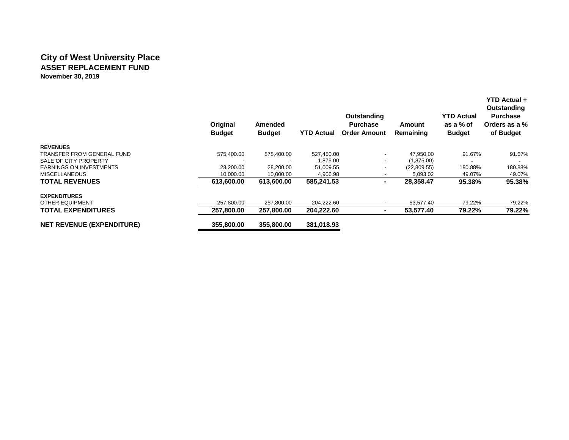## **City of West University Place ASSET REPLACEMENT FUND November 30, 2019**

|                                  | Original<br><b>Budget</b> | <b>Amended</b><br><b>Budget</b> | <b>YTD Actual</b> | Outstanding<br><b>Purchase</b><br><b>Order Amount</b> | Amount<br>Remaining | <b>YTD Actual</b><br>as a % of<br><b>Budget</b> | YTD Actual +<br>Outstanding<br><b>Purchase</b><br>Orders as a %<br>of Budget |
|----------------------------------|---------------------------|---------------------------------|-------------------|-------------------------------------------------------|---------------------|-------------------------------------------------|------------------------------------------------------------------------------|
| <b>REVENUES</b>                  |                           |                                 |                   |                                                       |                     |                                                 |                                                                              |
| TRANSFER FROM GENERAL FUND       | 575,400.00                | 575,400.00                      | 527,450.00        |                                                       | 47,950.00           | 91.67%                                          | 91.67%                                                                       |
| SALE OF CITY PROPERTY            |                           |                                 | 1,875.00          |                                                       | (1,875.00)          |                                                 |                                                                              |
| <b>EARNINGS ON INVESTMENTS</b>   | 28,200.00                 | 28,200.00                       | 51,009.55         |                                                       | (22,809.55)         | 180.88%                                         | 180.88%                                                                      |
| <b>MISCELLANEOUS</b>             | 10,000.00                 | 10,000.00                       | 4,906.98          |                                                       | 5,093.02            | 49.07%                                          | 49.07%                                                                       |
| <b>TOTAL REVENUES</b>            | 613,600.00                | 613,600.00                      | 585,241.53        |                                                       | 28,358.47           | 95.38%                                          | 95.38%                                                                       |
| <b>EXPENDITURES</b>              |                           |                                 |                   |                                                       |                     |                                                 |                                                                              |
| OTHER EQUIPMENT                  | 257,800.00                | 257,800.00                      | 204,222.60        |                                                       | 53.577.40           | 79.22%                                          | 79.22%                                                                       |
| <b>TOTAL EXPENDITURES</b>        | 257,800.00                | 257,800.00                      | 204,222.60        |                                                       | 53,577.40           | 79.22%                                          | 79.22%                                                                       |
| <b>NET REVENUE (EXPENDITURE)</b> | 355,800,00                | 355,800,00                      | 381,018.93        |                                                       |                     |                                                 |                                                                              |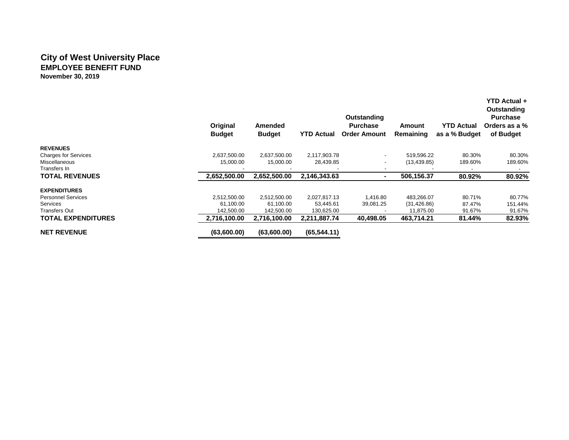#### **City of West University Place EMPLOYEE BENEFIT FUND November 30, 2019**

|                             | Original<br><b>Budget</b> | Amended<br><b>Budget</b> | <b>YTD Actual</b> | Outstanding<br><b>Purchase</b><br><b>Order Amount</b> | <b>Amount</b><br><b>Remaining</b> | <b>YTD Actual</b><br>as a % Budget | <b>YTD Actual +</b><br>Outstanding<br><b>Purchase</b><br>Orders as a %<br>of Budget |
|-----------------------------|---------------------------|--------------------------|-------------------|-------------------------------------------------------|-----------------------------------|------------------------------------|-------------------------------------------------------------------------------------|
| <b>REVENUES</b>             |                           |                          |                   |                                                       |                                   |                                    |                                                                                     |
| <b>Charges for Services</b> | 2,637,500.00              | 2,637,500.00             | 2,117,903.78      | $\overline{\phantom{a}}$                              | 519,596.22                        | 80.30%                             | 80.30%                                                                              |
| Miscellaneous               | 15,000.00                 | 15,000.00                | 28,439.85         | ٠                                                     | (13, 439.85)                      | 189.60%                            | 189.60%                                                                             |
| Transfers In                |                           |                          |                   |                                                       |                                   |                                    |                                                                                     |
| <b>TOTAL REVENUES</b>       | 2,652,500.00              | 2,652,500.00             | 2,146,343.63      | $\overline{\phantom{0}}$                              | 506,156.37                        | 80.92%                             | 80.92%                                                                              |
| <b>EXPENDITURES</b>         |                           |                          |                   |                                                       |                                   |                                    |                                                                                     |
| <b>Personnel Services</b>   | 2,512,500.00              | 2,512,500.00             | 2,027,817.13      | 1,416.80                                              | 483,266.07                        | 80.71%                             | 80.77%                                                                              |
| <b>Services</b>             | 61,100.00                 | 61,100.00                | 53,445.61         | 39,081.25                                             | (31, 426.86)                      | 87.47%                             | 151.44%                                                                             |
| Transfers Out               | 142.500.00                | 142,500.00               | 130,625.00        |                                                       | 11,875.00                         | 91.67%                             | 91.67%                                                                              |
| <b>TOTAL EXPENDITURES</b>   | 2,716,100.00              | 2,716,100.00             | 2,211,887.74      | 40,498.05                                             | 463,714.21                        | 81.44%                             | 82.93%                                                                              |
| <b>NET REVENUE</b>          | (63,600.00)               | (63,600,00)              | (65, 544.11)      |                                                       |                                   |                                    |                                                                                     |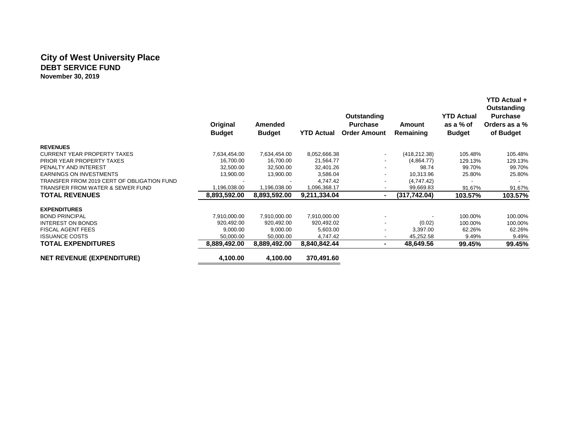### **City of West University Place DEBT SERVICE FUND November 30, 2019**

|                                            | Original<br><b>Budget</b> | Amended<br><b>Budget</b> | <b>YTD Actual</b> | Outstanding<br><b>Purchase</b><br><b>Order Amount</b> | Amount<br>Remaining | <b>YTD Actual</b><br>as a % of<br><b>Budget</b> | <b>YTD Actual +</b><br>Outstanding<br><b>Purchase</b><br>Orders as a %<br>of Budget |
|--------------------------------------------|---------------------------|--------------------------|-------------------|-------------------------------------------------------|---------------------|-------------------------------------------------|-------------------------------------------------------------------------------------|
| <b>REVENUES</b>                            |                           |                          |                   |                                                       |                     |                                                 |                                                                                     |
| <b>CURRENT YEAR PROPERTY TAXES</b>         | 7,634,454.00              | 7,634,454.00             | 8,052,666.38      | $\overline{\phantom{a}}$                              | (418, 212, 38)      | 105.48%                                         | 105.48%                                                                             |
| PRIOR YEAR PROPERTY TAXES                  | 16,700.00                 | 16,700.00                | 21,564.77         |                                                       | (4,864.77)          | 129.13%                                         | 129.13%                                                                             |
| PENALTY AND INTEREST                       | 32,500.00                 | 32,500.00                | 32,401.26         |                                                       | 98.74               | 99.70%                                          | 99.70%                                                                              |
| <b>EARNINGS ON INVESTMENTS</b>             | 13,900.00                 | 13,900.00                | 3,586.04          |                                                       | 10,313.96           | 25.80%                                          | 25.80%                                                                              |
| TRANSFER FROM 2019 CERT OF OBLIGATION FUND |                           |                          | 4,747.42          | -                                                     | (4,747.42)          |                                                 |                                                                                     |
| TRANSFER FROM WATER & SEWER FUND           | 1,196,038.00              | 1,196,038.00             | 1,096,368.17      |                                                       | 99,669.83           | 91.67%                                          | 91.67%                                                                              |
| <b>TOTAL REVENUES</b>                      | 8,893,592.00              | 8.893.592.00             | 9,211,334.04      |                                                       | (317,742.04)        | 103.57%                                         | 103.57%                                                                             |
| <b>EXPENDITURES</b>                        |                           |                          |                   |                                                       |                     |                                                 |                                                                                     |
| <b>BOND PRINCIPAL</b>                      | 7,910,000.00              | 7,910,000.00             | 7,910,000.00      |                                                       |                     | 100.00%                                         | 100.00%                                                                             |
| <b>INTEREST ON BONDS</b>                   | 920,492.00                | 920,492.00               | 920,492.02        |                                                       | (0.02)              | 100.00%                                         | 100.00%                                                                             |
| <b>FISCAL AGENT FEES</b>                   | 9,000.00                  | 9,000.00                 | 5,603.00          |                                                       | 3,397.00            | 62.26%                                          | 62.26%                                                                              |
| <b>ISSUANCE COSTS</b>                      | 50,000.00                 | 50,000.00                | 4,747.42          |                                                       | 45,252.58           | 9.49%                                           | 9.49%                                                                               |
| <b>TOTAL EXPENDITURES</b>                  | 8,889,492.00              | 8,889,492.00             | 8,840,842.44      | $\blacksquare$                                        | 48,649.56           | 99.45%                                          | 99.45%                                                                              |
| <b>NET REVENUE (EXPENDITURE)</b>           | 4,100.00                  | 4,100.00                 | 370,491.60        |                                                       |                     |                                                 |                                                                                     |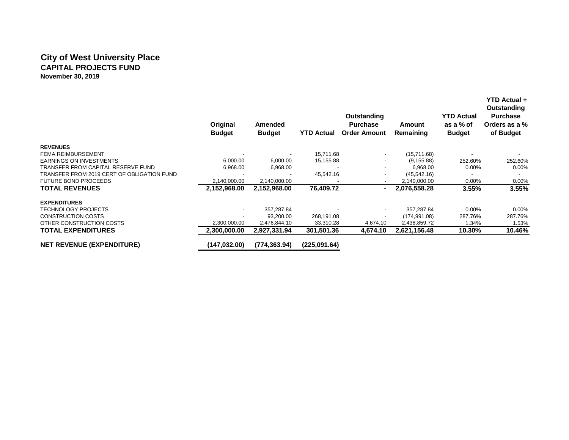### **City of West University Place CAPITAL PROJECTS FUND November 30, 2019**

|                                            | Original<br><b>Budget</b> | Amended<br><b>Budget</b> | <b>YTD Actual</b> | Outstanding<br><b>Purchase</b><br><b>Order Amount</b> | Amount<br>Remaining | <b>YTD Actual</b><br>as a % of<br><b>Budget</b> | <b>YTD Actual +</b><br>Outstanding<br><b>Purchase</b><br>Orders as a %<br>of Budget |
|--------------------------------------------|---------------------------|--------------------------|-------------------|-------------------------------------------------------|---------------------|-------------------------------------------------|-------------------------------------------------------------------------------------|
| <b>REVENUES</b>                            |                           |                          |                   |                                                       |                     |                                                 |                                                                                     |
| <b>FEMA REIMBURSEMENT</b>                  |                           |                          | 15,711.68         | $\overline{\phantom{a}}$                              | (15,711.68)         |                                                 |                                                                                     |
| <b>EARNINGS ON INVESTMENTS</b>             | 6,000.00                  | 6,000.00                 | 15,155.88         |                                                       | (9, 155.88)         | 252.60%                                         | 252.60%                                                                             |
| TRANSFER FROM CAPITAL RESERVE FUND         | 6,968.00                  | 6,968.00                 |                   |                                                       | 6,968.00            | $0.00\%$                                        | $0.00\%$                                                                            |
| TRANSFER FROM 2019 CERT OF OBLIGATION FUND |                           |                          | 45,542.16         | ٠                                                     | (45, 542.16)        |                                                 |                                                                                     |
| <b>FUTURE BOND PROCEEDS</b>                | 2,140,000.00              | 2,140,000.00             |                   | $\overline{\phantom{a}}$                              | 2,140,000.00        | $0.00\%$                                        | 0.00%                                                                               |
| <b>TOTAL REVENUES</b>                      | 2,152,968.00              | 2,152,968.00             | 76,409.72         | $\blacksquare$                                        | 2,076,558.28        | $3.55\%$                                        | 3.55%                                                                               |
| <b>EXPENDITURES</b>                        |                           |                          |                   |                                                       |                     |                                                 |                                                                                     |
| <b>TECHNOLOGY PROJECTS</b>                 |                           | 357,287.84               |                   |                                                       | 357,287.84          | $0.00\%$                                        | 0.00%                                                                               |
| <b>CONSTRUCTION COSTS</b>                  |                           | 93,200.00                | 268,191.08        | $\overline{\phantom{a}}$                              | (174, 991.08)       | 287.76%                                         | 287.76%                                                                             |
| OTHER CONSTRUCTION COSTS                   | 2,300,000.00              | 2,476,844.10             | 33,310.28         | 4,674.10                                              | 2,438,859.72        | 1.34%                                           | 1.53%                                                                               |
| <b>TOTAL EXPENDITURES</b>                  | 2.300.000.00              | 2,927,331.94             | 301,501.36        | 4.674.10                                              | 2,621,156.48        | 10.30%                                          | 10.46%                                                                              |
| <b>NET REVENUE (EXPENDITURE)</b>           | (147,032.00)              | (774, 363.94)            | (225,091.64)      |                                                       |                     |                                                 |                                                                                     |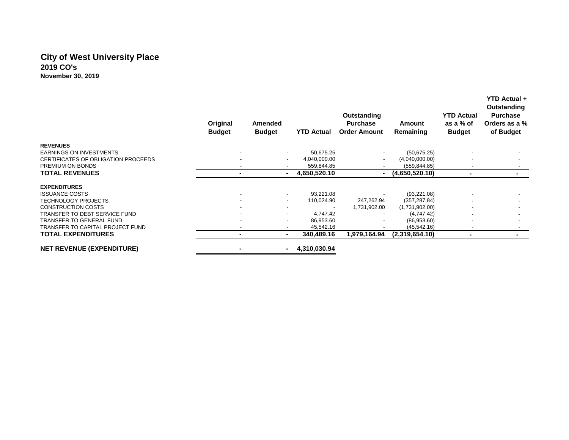## **City of West University Place 2019 CO's November 30, 2019**

|                                     | Original<br><b>Budget</b> | Amended<br><b>Budget</b> | <b>YTD Actual</b> | Outstanding<br><b>Purchase</b><br><b>Order Amount</b> | Amount<br>Remaining | <b>YTD Actual</b><br>as a % of<br><b>Budget</b> | Outstanding<br><b>Purchase</b><br>Orders as a %<br>of Budget |
|-------------------------------------|---------------------------|--------------------------|-------------------|-------------------------------------------------------|---------------------|-------------------------------------------------|--------------------------------------------------------------|
| <b>REVENUES</b>                     |                           |                          |                   |                                                       |                     |                                                 |                                                              |
| <b>EARNINGS ON INVESTMENTS</b>      |                           |                          | 50,675.25         |                                                       | (50,675.25)         |                                                 |                                                              |
| CERTIFICATES OF OBLIGATION PROCEEDS |                           |                          | 4,040,000.00      |                                                       | (4,040,000.00)      |                                                 |                                                              |
| PREMIUM ON BONDS                    |                           |                          | 559,844.85        |                                                       | (559, 844.85)       |                                                 |                                                              |
| <b>TOTAL REVENUES</b>               |                           |                          | 4,650,520.10      | $\blacksquare$                                        | (4,650,520.10)      |                                                 |                                                              |
| <b>EXPENDITURES</b>                 |                           |                          |                   |                                                       |                     |                                                 |                                                              |
| <b>ISSUANCE COSTS</b>               |                           |                          | 93,221.08         |                                                       | (93, 221.08)        |                                                 |                                                              |
| <b>TECHNOLOGY PROJECTS</b>          |                           | $\overline{\phantom{a}}$ | 110,024.90        | 247,262.94                                            | (357, 287.84)       |                                                 |                                                              |
| <b>CONSTRUCTION COSTS</b>           |                           |                          |                   | 1,731,902.00                                          | (1,731,902.00)      |                                                 |                                                              |
| TRANSFER TO DEBT SERVICE FUND       |                           |                          | 4,747.42          |                                                       | (4,747.42)          |                                                 |                                                              |
| <b>TRANSFER TO GENERAL FUND</b>     |                           |                          | 86,953.60         |                                                       | (86,953.60)         |                                                 |                                                              |
| TRANSFER TO CAPITAL PROJECT FUND    |                           |                          | 45,542.16         |                                                       | (45, 542.16)        |                                                 |                                                              |
| <b>TOTAL EXPENDITURES</b>           |                           |                          | 340,489.16        | 1,979,164.94                                          | (2,319,654.10)      |                                                 |                                                              |
| <b>NET REVENUE (EXPENDITURE)</b>    |                           |                          | 4,310,030.94      |                                                       |                     |                                                 |                                                              |

 **YTD Actual +**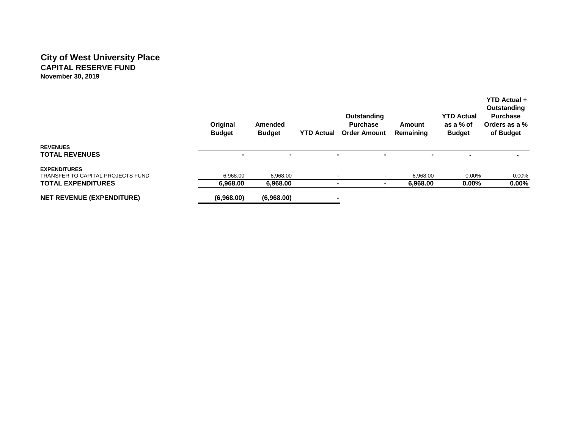## **City of West University Place CAPITAL RESERVE FUND November 30, 2019**

|                                          | Original<br><b>Budget</b> | Amended<br><b>Budget</b> | <b>YTD Actual</b> | Outstanding<br><b>Purchase</b><br><b>Order Amount</b> | Amount<br>Remaining | <b>YTD Actual</b><br>as a % of<br><b>Budget</b> | Outstanding<br><b>Purchase</b><br>Orders as a %<br>of Budget |
|------------------------------------------|---------------------------|--------------------------|-------------------|-------------------------------------------------------|---------------------|-------------------------------------------------|--------------------------------------------------------------|
| <b>REVENUES</b><br><b>TOTAL REVENUES</b> | $\blacksquare$            | $\blacksquare$           | -                 | $\overline{\phantom{a}}$                              |                     |                                                 |                                                              |
|                                          |                           |                          |                   |                                                       |                     |                                                 |                                                              |
| <b>EXPENDITURES</b>                      |                           |                          |                   |                                                       |                     |                                                 |                                                              |
| TRANSFER TO CAPITAL PROJECTS FUND        | 6.968.00                  | 6.968.00                 |                   | $\overline{\phantom{a}}$                              | 6.968.00            | $0.00\%$                                        | 0.00%                                                        |
| <b>TOTAL EXPENDITURES</b>                | 6,968.00                  | 6,968.00                 | ۰                 |                                                       | 6,968.00            | $0.00\%$                                        | $0.00\%$                                                     |
| <b>NET REVENUE (EXPENDITURE)</b>         | (6,968.00)                | (6,968.00)               | -                 |                                                       |                     |                                                 |                                                              |

 **YTD Actual +**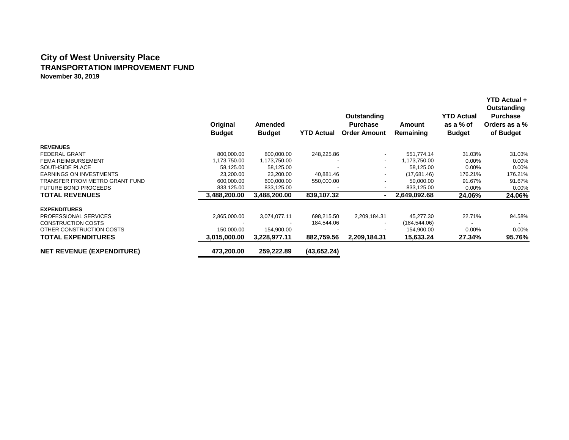## **City of West University Place TRANSPORTATION IMPROVEMENT FUND November 30, 2019**

|                                  | Original<br><b>Budget</b> | Amended<br><b>Budget</b> | <b>YTD Actual</b> | Outstanding<br><b>Purchase</b><br><b>Order Amount</b> | Amount<br>Remaining | <b>YTD Actual</b><br>as a % of<br><b>Budget</b> | YTD Actual +<br>Outstanding<br><b>Purchase</b><br>Orders as a %<br>of Budget |
|----------------------------------|---------------------------|--------------------------|-------------------|-------------------------------------------------------|---------------------|-------------------------------------------------|------------------------------------------------------------------------------|
| <b>REVENUES</b>                  |                           |                          |                   |                                                       |                     |                                                 |                                                                              |
| <b>FEDERAL GRANT</b>             | 800,000.00                | 800,000.00               | 248,225.86        |                                                       | 551,774.14          | 31.03%                                          | 31.03%                                                                       |
| <b>FEMA REIMBURSEMENT</b>        | 1,173,750.00              | 1,173,750.00             |                   |                                                       | 1,173,750.00        | $0.00\%$                                        | 0.00%                                                                        |
| SOUTHSIDE PLACE                  | 58,125.00                 | 58,125.00                |                   |                                                       | 58,125.00           | $0.00\%$                                        | 0.00%                                                                        |
| <b>EARNINGS ON INVESTMENTS</b>   | 23,200.00                 | 23,200.00                | 40,881.46         |                                                       | (17,681.46)         | 176.21%                                         | 176.21%                                                                      |
| TRANSFER FROM METRO GRANT FUND   | 600,000.00                | 600,000.00               | 550,000.00        | ۰                                                     | 50,000.00           | 91.67%                                          | 91.67%                                                                       |
| <b>FUTURE BOND PROCEEDS</b>      | 833,125.00                | 833,125.00               |                   | ۰.                                                    | 833,125.00          | $0.00\%$                                        | 0.00%                                                                        |
| <b>TOTAL REVENUES</b>            | 3.488.200.00              | 3.488.200.00             | 839.107.32        |                                                       | 2.649.092.68        | 24.06%                                          | 24.06%                                                                       |
| <b>EXPENDITURES</b>              |                           |                          |                   |                                                       |                     |                                                 |                                                                              |
| PROFESSIONAL SERVICES            | 2,865,000.00              | 3,074,077.11             | 698,215.50        | 2,209,184.31                                          | 45,277.30           | 22.71%                                          | 94.58%                                                                       |
| <b>CONSTRUCTION COSTS</b>        |                           |                          | 184,544.06        | $\overline{\phantom{0}}$                              | (184, 544.06)       |                                                 |                                                                              |
| OTHER CONSTRUCTION COSTS         | 150,000.00                | 154,900.00               |                   |                                                       | 154,900.00          | 0.00%                                           | 0.00%                                                                        |
| <b>TOTAL EXPENDITURES</b>        | 3,015,000.00              | 3,228,977.11             | 882,759.56        | 2,209,184.31                                          | 15,633.24           | 27.34%                                          | 95.76%                                                                       |
| <b>NET REVENUE (EXPENDITURE)</b> | 473,200.00                | 259,222.89               | (43,652.24)       |                                                       |                     |                                                 |                                                                              |
|                                  |                           |                          |                   |                                                       |                     |                                                 |                                                                              |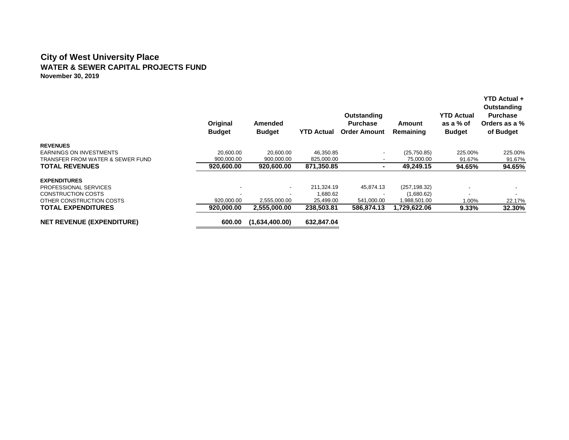#### **City of West University Place WATER & SEWER CAPITAL PROJECTS FUND November 30, 2019**

|                                  | Original<br><b>Budget</b> | Amended<br><b>Budget</b> | <b>YTD Actual</b> | Outstanding<br><b>Purchase</b><br><b>Order Amount</b> | Amount<br>Remaining | <b>YTD Actual</b><br>as a % of<br><b>Budget</b> | <b>YTD Actual +</b><br>Outstanding<br><b>Purchase</b><br>Orders as a %<br>of Budget |
|----------------------------------|---------------------------|--------------------------|-------------------|-------------------------------------------------------|---------------------|-------------------------------------------------|-------------------------------------------------------------------------------------|
| <b>REVENUES</b>                  |                           |                          |                   |                                                       |                     |                                                 |                                                                                     |
| <b>EARNINGS ON INVESTMENTS</b>   | 20.600.00                 | 20.600.00                | 46,350.85         | $\overline{\phantom{0}}$                              | (25,750.85)         | 225.00%                                         | 225.00%                                                                             |
| TRANSFER FROM WATER & SEWER FUND | 900,000.00                | 900,000.00               | 825,000.00        |                                                       | 75,000.00           | 91.67%                                          | 91.67%                                                                              |
| <b>TOTAL REVENUES</b>            | 920.600.00                | 920.600.00               | 871.350.85        | $\blacksquare$                                        | 49.249.15           | 94.65%                                          | 94.65%                                                                              |
| <b>EXPENDITURES</b>              |                           |                          |                   |                                                       |                     |                                                 |                                                                                     |
| PROFESSIONAL SERVICES            |                           | $\overline{\phantom{a}}$ | 211,324.19        | 45,874.13                                             | (257, 198.32)       |                                                 |                                                                                     |
| CONSTRUCTION COSTS               |                           |                          | 1,680.62          |                                                       | (1,680.62)          |                                                 |                                                                                     |
| OTHER CONSTRUCTION COSTS         | 920.000.00                | 2,555,000.00             | 25,499.00         | 541,000.00                                            | 1,988,501.00        | 1.00%                                           | 22.17%                                                                              |
| <b>TOTAL EXPENDITURES</b>        | 920,000.00                | 2,555,000.00             | 238,503.81        | 586.874.13                                            | 1,729,622.06        | 9.33%                                           | 32.30%                                                                              |
| <b>NET REVENUE (EXPENDITURE)</b> | 600.00                    | (1,634,400.00)           | 632.847.04        |                                                       |                     |                                                 |                                                                                     |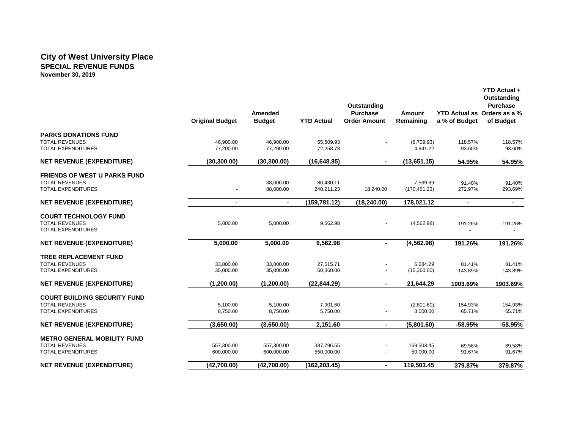#### **City of West University Place SPECIAL REVENUE FUNDS November 30, 2019**

|                                                                                    | <b>Original Budget</b> | Amended<br><b>Budget</b> | <b>YTD Actual</b>      | Outstanding<br><b>Purchase</b><br><b>Order Amount</b> | <b>Amount</b><br>Remaining | a % of Budget     | <b>YTD Actual +</b><br>Outstanding<br><b>Purchase</b><br>YTD Actual as Orders as a %<br>of Budget |
|------------------------------------------------------------------------------------|------------------------|--------------------------|------------------------|-------------------------------------------------------|----------------------------|-------------------|---------------------------------------------------------------------------------------------------|
| <b>PARKS DONATIONS FUND</b>                                                        |                        |                          |                        |                                                       |                            |                   |                                                                                                   |
| <b>TOTAL REVENUES</b>                                                              | 46,900.00              | 46,900.00                | 55,609.93              |                                                       | (8,709.93)                 | 118.57%           | 118.57%                                                                                           |
| <b>TOTAL EXPENDITURES</b>                                                          | 77,200.00              | 77,200.00                | 72,258.78              |                                                       | 4,941.22                   | 93.60%            | 93.60%                                                                                            |
| <b>NET REVENUE (EXPENDITURE)</b>                                                   | (30, 300.00)           | (30, 300.00)             | (16, 648.85)           | $\blacksquare$                                        | (13,651.15)                | 54.95%            | 54.95%                                                                                            |
| <b>FRIENDS OF WEST U PARKS FUND</b>                                                |                        |                          |                        |                                                       |                            |                   |                                                                                                   |
| <b>TOTAL REVENUES</b>                                                              |                        | 88,000.00                | 80,430.11              |                                                       | 7,569.89                   | 91.40%            | 91.40%                                                                                            |
| <b>TOTAL EXPENDITURES</b>                                                          |                        | 88,000.00                | 240,211.23             | 18,240.00                                             | (170, 451.23)              | 272.97%           | 293.69%                                                                                           |
| <b>NET REVENUE (EXPENDITURE)</b>                                                   | $\blacksquare$         | $\blacksquare$           | (159, 781.12)          | (18, 240.00)                                          | 178,021.12                 | $\blacksquare$    | $\blacksquare$                                                                                    |
| <b>COURT TECHNOLOGY FUND</b><br><b>TOTAL REVENUES</b><br><b>TOTAL EXPENDITURES</b> | 5,000.00               | 5,000.00                 | 9,562.98               |                                                       | (4, 562.98)                | 191.26%           | 191.26%                                                                                           |
| <b>NET REVENUE (EXPENDITURE)</b>                                                   | 5,000.00               | 5,000.00                 | 9,562.98               | $\blacksquare$                                        | (4, 562.98)                | 191.26%           | 191.26%                                                                                           |
| <b>TREE REPLACEMENT FUND</b><br><b>TOTAL REVENUES</b><br><b>TOTAL EXPENDITURES</b> | 33,800.00<br>35,000.00 | 33,800.00<br>35,000.00   | 27,515.71<br>50,360.00 |                                                       | 6,284.29<br>(15,360.00)    | 81.41%<br>143.89% | 81.41%<br>143.89%                                                                                 |
| <b>NET REVENUE (EXPENDITURE)</b>                                                   | (1,200.00)             | (1,200.00)               | (22, 844.29)           | $\blacksquare$                                        | 21,644.29                  | 1903.69%          | 1903.69%                                                                                          |
| <b>COURT BUILDING SECURITY FUND</b>                                                |                        |                          |                        |                                                       |                            |                   |                                                                                                   |
| <b>TOTAL REVENUES</b>                                                              | 5,100.00               | 5,100.00                 | 7,901.60               |                                                       | (2,801.60)                 | 154.93%           | 154.93%                                                                                           |
| <b>TOTAL EXPENDITURES</b>                                                          | 8,750.00               | 8,750.00                 | 5,750.00               |                                                       | 3,000.00                   | 65.71%            | 65.71%                                                                                            |
| <b>NET REVENUE (EXPENDITURE)</b>                                                   | (3,650.00)             | (3,650.00)               | 2,151.60               | $\blacksquare$                                        | (5,801.60)                 | $-58.95%$         | $-58.95%$                                                                                         |
| <b>METRO GENERAL MOBILITY FUND</b>                                                 |                        |                          |                        |                                                       |                            |                   |                                                                                                   |
| <b>TOTAL REVENUES</b>                                                              | 557,300.00             | 557,300.00               | 387,796.55             |                                                       | 169,503.45                 | 69.58%            | 69.58%                                                                                            |
| <b>TOTAL EXPENDITURES</b>                                                          | 600,000.00             | 600,000.00               | 550,000.00             |                                                       | 50,000.00                  | 91.67%            | 91.67%                                                                                            |
| <b>NET REVENUE (EXPENDITURE)</b>                                                   | (42,700.00)            | (42,700.00)              | (162, 203.45)          | $\blacksquare$                                        | 119,503.45                 | 379.87%           | 379.87%                                                                                           |